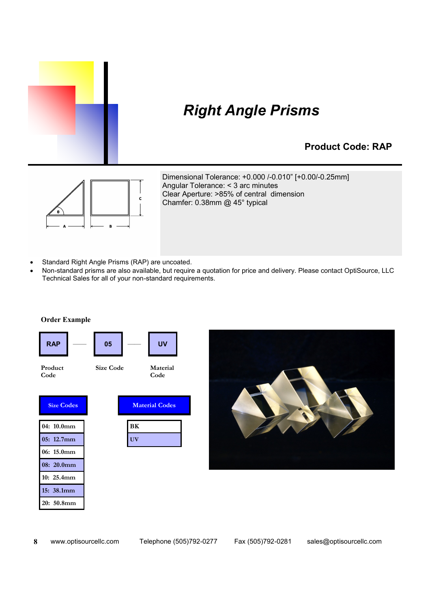

### *Right Angle Prisms*

#### **Product Code: RAP**



Dimensional Tolerance: +0.000 /-0.010" [+0.00/-0.25mm] Angular Tolerance: < 3 arc minutes Clear Aperture: >85% of central dimension Chamfer: 0.38mm @ 45° typical

- Standard Right Angle Prisms (RAP) are uncoated.
- Non-standard prisms are also available, but require a quotation for price and delivery. Please contact OptiSource, LLC Technical Sales for all of your non-standard requirements.



**Order Example**

 **8**

**20: 50.8mm**

www.optisourcellc.com Telephone (505)792-0277 Fax (505)792-0281 sales@optisourcellc.com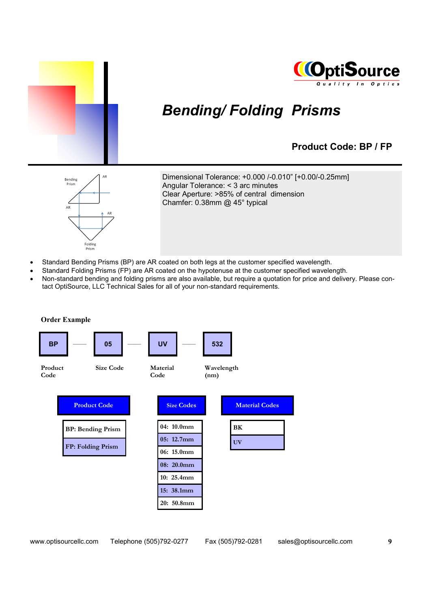



# *Bending/ Folding Prisms*

#### **Product Code: BP / FP**



Dimensional Tolerance: +0.000 /-0.010" [+0.00/-0.25mm] Angular Tolerance: < 3 arc minutes Clear Aperture: >85% of central dimension Chamfer: 0.38mm @ 45° typical

- Standard Bending Prisms (BP) are AR coated on both legs at the customer specified wavelength.
- Standard Folding Prisms (FP) are AR coated on the hypotenuse at the customer specified wavelength.
- Non-standard bending and folding prisms are also available, but require a quotation for price and delivery. Please contact OptiSource, LLC Technical Sales for all of your non-standard requirements.



www.optisourcellc.com Telephone (505)792-0277 Fax (505)792-0281 sales@optisourcellc.com **9**